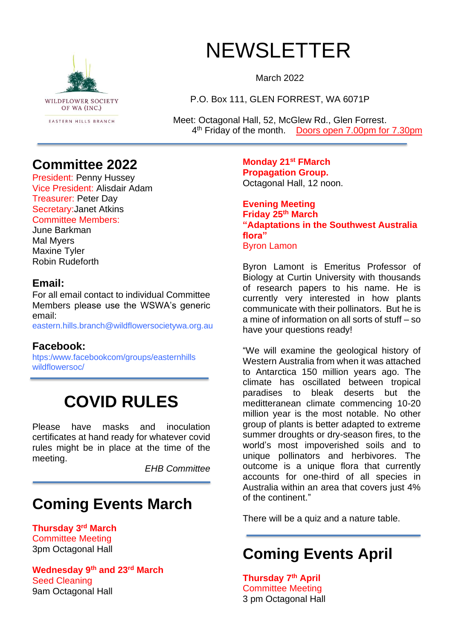

# **NEWSLETTER**

March 2022

P.O. Box 111, GLEN FORREST, WA 6071P

Meet: Octagonal Hall, 52, McGlew Rd., Glen Forrest. 4<sup>th</sup> Friday of the month. Doors open 7.00pm for 7.30pm

### **Committee 2022**

President: Penny Hussey Vice President: Alisdair Adam Treasurer: Peter Day Secretary:Janet Atkins Committee Members:

June Barkman Mal Myers Maxine Tyler Robin Rudeforth

### **Email:**

For all email contact to individual Committee Members please use the WSWA's generic email:

eastern.hills.branch@wildflowersocietywa.org.au

#### **Facebook:**

htps:/www.facebookcom/groups/easternhills wildflowersoc/

# **COVID RULES**

Please have masks and inoculation certificates at hand ready for whatever covid rules might be in place at the time of the meeting.

*EHB Committee*

# **Coming Events March**

**Thursday 3 rd March** Committee Meeting 3pm Octagonal Hall

**Wednesday 9th and 23rd March** Seed Cleaning 9am Octagonal Hall

**Monday 21st FMarch Propagation Group.**  Octagonal Hall, 12 noon.

**Evening Meeting Friday 25th March "Adaptations in the Southwest Australia flora"** Byron Lamon

Byron Lamont is Emeritus Professor of Biology at Curtin University with thousands of research papers to his name. He is currently very interested in how plants communicate with their pollinators. But he is a mine of information on all sorts of stuff – so have your questions ready!

"We will examine the geological history of Western Australia from when it was attached to Antarctica 150 million years ago. The climate has oscillated between tropical paradises to bleak deserts but the meditteranean climate commencing 10-20 million year is the most notable. No other group of plants is better adapted to extreme summer droughts or dry-season fires, to the world's most impoverished soils and to unique pollinators and herbivores. The outcome is a unique flora that currently accounts for one-third of all species in Australia within an area that covers just 4% of the continent."

There will be a quiz and a nature table.

# **Coming Events April**

**Thursday 7 th April** Committee Meeting 3 pm Octagonal Hall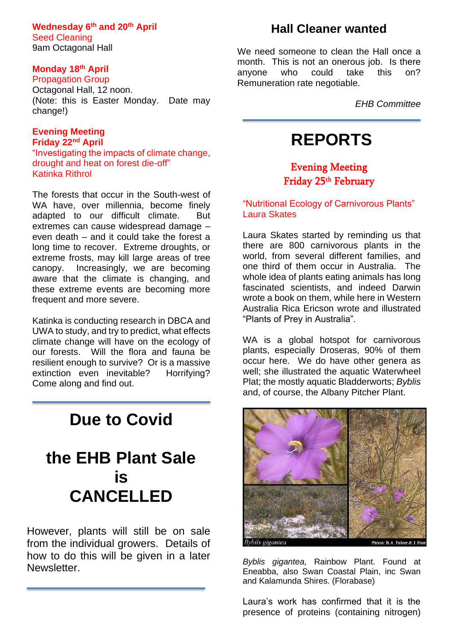**Wednesday 6th and 20th April** Seed Cleaning

9am Octagonal Hall

#### **Monday 18th April**

Propagation Group Octagonal Hall, 12 noon. (Note: this is Easter Monday. Date may change!)

### **Evening Meeting**

**Friday 22nd April** "Investigating the impacts of climate change, drought and heat on forest die-off" Katinka Rithrol

The forests that occur in the South-west of WA have, over millennia, become finely adapted to our difficult climate. But extremes can cause widespread damage – even death – and it could take the forest a long time to recover. Extreme droughts, or extreme frosts, may kill large areas of tree canopy. Increasingly, we are becoming aware that the climate is changing, and these extreme events are becoming more frequent and more severe.

Katinka is conducting research in DBCA and UWA to study, and try to predict, what effects climate change will have on the ecology of our forests. Will the flora and fauna be resilient enough to survive? Or is a massive extinction even inevitable? Horrifying? Come along and find out.

### **Due to Covid**

# **the EHB Plant Sale is CANCELLED**

However, plants will still be on sale from the individual growers. Details of how to do this will be given in a later Newsletter.

### **Hall Cleaner wanted**

We need someone to clean the Hall once a month. This is not an onerous job. Is there anyone who could take this on? Remuneration rate negotiable.

*EHB Committee*

# **REPORTS**

### Evening Meeting Friday 25<sup>th</sup> February

"Nutritional Ecology of Carnivorous Plants" Laura Skates

Laura Skates started by reminding us that there are 800 carnivorous plants in the world, from several different families, and one third of them occur in Australia. The whole idea of plants eating animals has long fascinated scientists, and indeed Darwin wrote a book on them, while here in Western Australia Rica Ericson wrote and illustrated "Plants of Prey in Australia".

WA is a global hotspot for carnivorous plants, especially Droseras, 90% of them occur here. We do have other genera as well; she illustrated the aquatic Waterwheel Plat; the mostly aquatic Bladderworts; *Byblis* and, of course, the Albany Pitcher Plant.



*Byblis gigantea,* Rainbow Plant. Found at Eneabba, also Swan Coastal Plain, inc Swan and Kalamunda Shires. (Florabase)

Laura's work has confirmed that it is the presence of proteins (containing nitrogen)